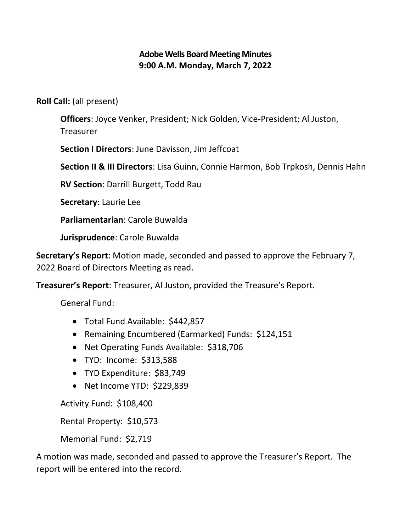# **Adobe Wells Board Meeting Minutes 9:00 A.M. Monday, March 7, 2022**

**Roll Call:** (all present)

**Officers**: Joyce Venker, President; Nick Golden, Vice-President; Al Juston, Treasurer

**Section I Directors**: June Davisson, Jim Jeffcoat

**Section II & III Directors**: Lisa Guinn, Connie Harmon, Bob Trpkosh, Dennis Hahn

**RV Section**: Darrill Burgett, Todd Rau

**Secretary**: Laurie Lee

**Parliamentarian**: Carole Buwalda

**Jurisprudence**: Carole Buwalda

**Secretary's Report**: Motion made, seconded and passed to approve the February 7, 2022 Board of Directors Meeting as read.

**Treasurer's Report**: Treasurer, Al Juston, provided the Treasure's Report.

General Fund:

- Total Fund Available: \$442,857
- Remaining Encumbered (Earmarked) Funds: \$124,151
- Net Operating Funds Available: \$318,706
- TYD: Income: \$313,588
- TYD Expenditure: \$83,749
- Net Income YTD: \$229,839

Activity Fund: \$108,400

Rental Property: \$10,573

Memorial Fund: \$2,719

A motion was made, seconded and passed to approve the Treasurer's Report. The report will be entered into the record.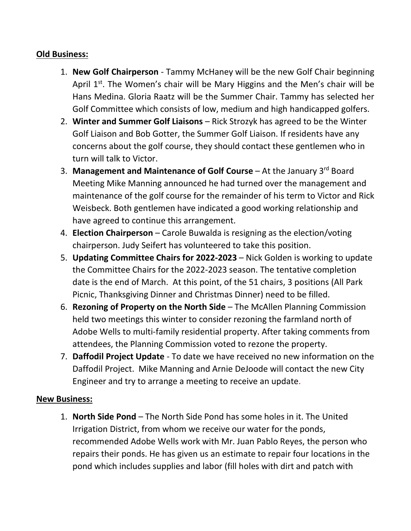## **Old Business:**

- 1. **New Golf Chairperson** Tammy McHaney will be the new Golf Chair beginning April  $1<sup>st</sup>$ . The Women's chair will be Mary Higgins and the Men's chair will be Hans Medina. Gloria Raatz will be the Summer Chair. Tammy has selected her Golf Committee which consists of low, medium and high handicapped golfers.
- 2. **Winter and Summer Golf Liaisons** Rick Strozyk has agreed to be the Winter Golf Liaison and Bob Gotter, the Summer Golf Liaison. If residents have any concerns about the golf course, they should contact these gentlemen who in turn will talk to Victor.
- 3. **Management and Maintenance of Golf Course** At the January 3rd Board Meeting Mike Manning announced he had turned over the management and maintenance of the golf course for the remainder of his term to Victor and Rick Weisbeck. Both gentlemen have indicated a good working relationship and have agreed to continue this arrangement.
- 4. **Election Chairperson** Carole Buwalda is resigning as the election/voting chairperson. Judy Seifert has volunteered to take this position.
- 5. **Updating Committee Chairs for 2022-2023** Nick Golden is working to update the Committee Chairs for the 2022-2023 season. The tentative completion date is the end of March. At this point, of the 51 chairs, 3 positions (All Park Picnic, Thanksgiving Dinner and Christmas Dinner) need to be filled.
- 6. **Rezoning of Property on the North Side** The McAllen Planning Commission held two meetings this winter to consider rezoning the farmland north of Adobe Wells to multi-family residential property. After taking comments from attendees, the Planning Commission voted to rezone the property.
- 7. **Daffodil Project Update** To date we have received no new information on the Daffodil Project. Mike Manning and Arnie DeJoode will contact the new City Engineer and try to arrange a meeting to receive an update.

### **New Business:**

1. **North Side Pond** – The North Side Pond has some holes in it. The United Irrigation District, from whom we receive our water for the ponds, recommended Adobe Wells work with Mr. Juan Pablo Reyes, the person who repairs their ponds. He has given us an estimate to repair four locations in the pond which includes supplies and labor (fill holes with dirt and patch with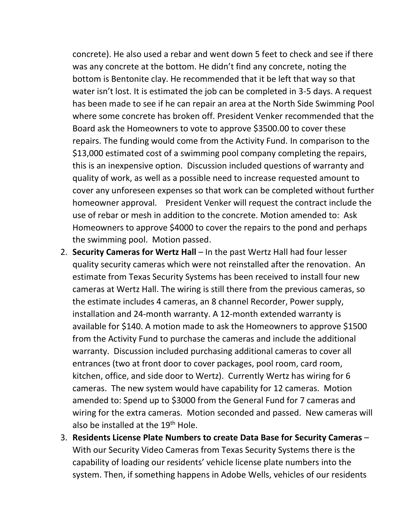concrete). He also used a rebar and went down 5 feet to check and see if there was any concrete at the bottom. He didn't find any concrete, noting the bottom is Bentonite clay. He recommended that it be left that way so that water isn't lost. It is estimated the job can be completed in 3-5 days. A request has been made to see if he can repair an area at the North Side Swimming Pool where some concrete has broken off. President Venker recommended that the Board ask the Homeowners to vote to approve \$3500.00 to cover these repairs. The funding would come from the Activity Fund. In comparison to the \$13,000 estimated cost of a swimming pool company completing the repairs, this is an inexpensive option. Discussion included questions of warranty and quality of work, as well as a possible need to increase requested amount to cover any unforeseen expenses so that work can be completed without further homeowner approval. President Venker will request the contract include the use of rebar or mesh in addition to the concrete. Motion amended to: Ask Homeowners to approve \$4000 to cover the repairs to the pond and perhaps the swimming pool. Motion passed.

- 2. **Security Cameras for Wertz Hall** In the past Wertz Hall had four lesser quality security cameras which were not reinstalled after the renovation. An estimate from Texas Security Systems has been received to install four new cameras at Wertz Hall. The wiring is still there from the previous cameras, so the estimate includes 4 cameras, an 8 channel Recorder, Power supply, installation and 24-month warranty. A 12-month extended warranty is available for \$140. A motion made to ask the Homeowners to approve \$1500 from the Activity Fund to purchase the cameras and include the additional warranty. Discussion included purchasing additional cameras to cover all entrances (two at front door to cover packages, pool room, card room, kitchen, office, and side door to Wertz). Currently Wertz has wiring for 6 cameras. The new system would have capability for 12 cameras. Motion amended to: Spend up to \$3000 from the General Fund for 7 cameras and wiring for the extra cameras. Motion seconded and passed. New cameras will also be installed at the  $19<sup>th</sup>$  Hole.
- 3. **Residents License Plate Numbers to create Data Base for Security Cameras** With our Security Video Cameras from Texas Security Systems there is the capability of loading our residents' vehicle license plate numbers into the system. Then, if something happens in Adobe Wells, vehicles of our residents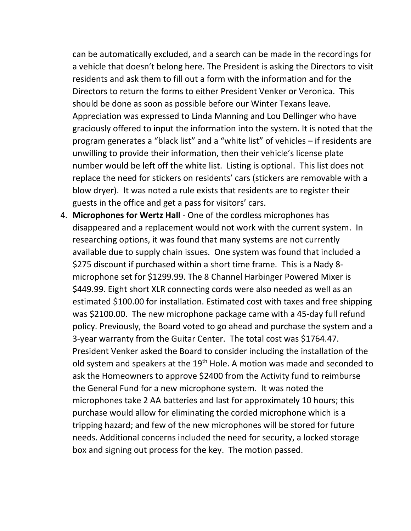can be automatically excluded, and a search can be made in the recordings for a vehicle that doesn't belong here. The President is asking the Directors to visit residents and ask them to fill out a form with the information and for the Directors to return the forms to either President Venker or Veronica. This should be done as soon as possible before our Winter Texans leave. Appreciation was expressed to Linda Manning and Lou Dellinger who have graciously offered to input the information into the system. It is noted that the program generates a "black list" and a "white list" of vehicles – if residents are unwilling to provide their information, then their vehicle's license plate number would be left off the white list. Listing is optional. This list does not replace the need for stickers on residents' cars (stickers are removable with a blow dryer). It was noted a rule exists that residents are to register their guests in the office and get a pass for visitors' cars.

4. **Microphones for Wertz Hall** - One of the cordless microphones has disappeared and a replacement would not work with the current system. In researching options, it was found that many systems are not currently available due to supply chain issues. One system was found that included a \$275 discount if purchased within a short time frame. This is a Nady 8 microphone set for \$1299.99. The 8 Channel Harbinger Powered Mixer is \$449.99. Eight short XLR connecting cords were also needed as well as an estimated \$100.00 for installation. Estimated cost with taxes and free shipping was \$2100.00. The new microphone package came with a 45-day full refund policy. Previously, the Board voted to go ahead and purchase the system and a 3-year warranty from the Guitar Center. The total cost was \$1764.47. President Venker asked the Board to consider including the installation of the old system and speakers at the 19<sup>th</sup> Hole. A motion was made and seconded to ask the Homeowners to approve \$2400 from the Activity fund to reimburse the General Fund for a new microphone system. It was noted the microphones take 2 AA batteries and last for approximately 10 hours; this purchase would allow for eliminating the corded microphone which is a tripping hazard; and few of the new microphones will be stored for future needs. Additional concerns included the need for security, a locked storage box and signing out process for the key. The motion passed.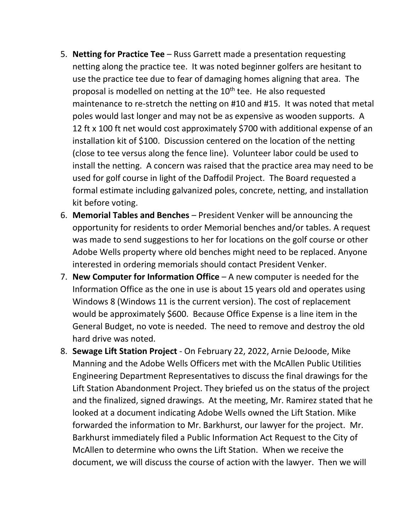- 5. **Netting for Practice Tee** Russ Garrett made a presentation requesting netting along the practice tee. It was noted beginner golfers are hesitant to use the practice tee due to fear of damaging homes aligning that area. The proposal is modelled on netting at the 10<sup>th</sup> tee. He also requested maintenance to re-stretch the netting on #10 and #15. It was noted that metal poles would last longer and may not be as expensive as wooden supports. A 12 ft x 100 ft net would cost approximately \$700 with additional expense of an installation kit of \$100. Discussion centered on the location of the netting (close to tee versus along the fence line). Volunteer labor could be used to install the netting. A concern was raised that the practice area may need to be used for golf course in light of the Daffodil Project. The Board requested a formal estimate including galvanized poles, concrete, netting, and installation kit before voting.
- 6. **Memorial Tables and Benches** President Venker will be announcing the opportunity for residents to order Memorial benches and/or tables. A request was made to send suggestions to her for locations on the golf course or other Adobe Wells property where old benches might need to be replaced. Anyone interested in ordering memorials should contact President Venker.
- 7. **New Computer for Information Office** A new computer is needed for the Information Office as the one in use is about 15 years old and operates using Windows 8 (Windows 11 is the current version). The cost of replacement would be approximately \$600. Because Office Expense is a line item in the General Budget, no vote is needed. The need to remove and destroy the old hard drive was noted.
- 8. **Sewage Lift Station Project** On February 22, 2022, Arnie DeJoode, Mike Manning and the Adobe Wells Officers met with the McAllen Public Utilities Engineering Department Representatives to discuss the final drawings for the Lift Station Abandonment Project. They briefed us on the status of the project and the finalized, signed drawings. At the meeting, Mr. Ramirez stated that he looked at a document indicating Adobe Wells owned the Lift Station. Mike forwarded the information to Mr. Barkhurst, our lawyer for the project. Mr. Barkhurst immediately filed a Public Information Act Request to the City of McAllen to determine who owns the Lift Station. When we receive the document, we will discuss the course of action with the lawyer. Then we will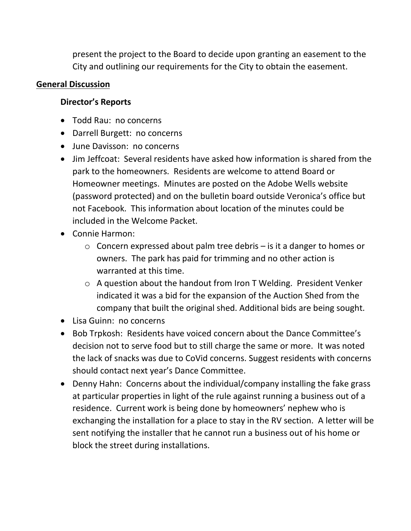present the project to the Board to decide upon granting an easement to the City and outlining our requirements for the City to obtain the easement.

### **General Discussion**

## **Director's Reports**

- Todd Rau: no concerns
- Darrell Burgett: no concerns
- June Davisson: no concerns
- Jim Jeffcoat: Several residents have asked how information is shared from the park to the homeowners. Residents are welcome to attend Board or Homeowner meetings. Minutes are posted on the Adobe Wells website (password protected) and on the bulletin board outside Veronica's office but not Facebook. This information about location of the minutes could be included in the Welcome Packet.
- Connie Harmon:
	- o Concern expressed about palm tree debris is it a danger to homes or owners. The park has paid for trimming and no other action is warranted at this time.
	- o A question about the handout from Iron T Welding. President Venker indicated it was a bid for the expansion of the Auction Shed from the company that built the original shed. Additional bids are being sought.
- Lisa Guinn: no concerns
- Bob Trpkosh: Residents have voiced concern about the Dance Committee's decision not to serve food but to still charge the same or more. It was noted the lack of snacks was due to CoVid concerns. Suggest residents with concerns should contact next year's Dance Committee.
- Denny Hahn: Concerns about the individual/company installing the fake grass at particular properties in light of the rule against running a business out of a residence. Current work is being done by homeowners' nephew who is exchanging the installation for a place to stay in the RV section. A letter will be sent notifying the installer that he cannot run a business out of his home or block the street during installations.